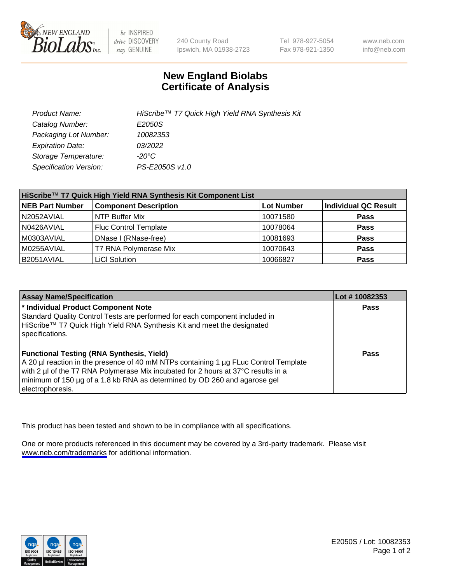

be INSPIRED drive DISCOVERY stay GENUINE

240 County Road Ipswich, MA 01938-2723 Tel 978-927-5054 Fax 978-921-1350

www.neb.com info@neb.com

## **New England Biolabs Certificate of Analysis**

| Product Name:           | HiScribe™ T7 Quick High Yield RNA Synthesis Kit |
|-------------------------|-------------------------------------------------|
| Catalog Number:         | E2050S                                          |
| Packaging Lot Number:   | 10082353                                        |
| <b>Expiration Date:</b> | 03/2022                                         |
| Storage Temperature:    | -20°C                                           |
| Specification Version:  | PS-E2050S v1.0                                  |

| HiScribe™ T7 Quick High Yield RNA Synthesis Kit Component List |                              |            |                             |  |
|----------------------------------------------------------------|------------------------------|------------|-----------------------------|--|
| <b>NEB Part Number</b>                                         | <b>Component Description</b> | Lot Number | <b>Individual QC Result</b> |  |
| N2052AVIAL                                                     | NTP Buffer Mix               | 10071580   | <b>Pass</b>                 |  |
| N0426AVIAL                                                     | <b>Fluc Control Template</b> | 10078064   | <b>Pass</b>                 |  |
| M0303AVIAL                                                     | DNase I (RNase-free)         | 10081693   | <b>Pass</b>                 |  |
| M0255AVIAL                                                     | T7 RNA Polymerase Mix        | 10070643   | <b>Pass</b>                 |  |
| B2051AVIAL                                                     | <b>LiCI Solution</b>         | 10066827   | <b>Pass</b>                 |  |

| <b>Assay Name/Specification</b>                                                                                                                                                                                                                                                                                                | Lot #10082353 |
|--------------------------------------------------------------------------------------------------------------------------------------------------------------------------------------------------------------------------------------------------------------------------------------------------------------------------------|---------------|
| * Individual Product Component Note<br>Standard Quality Control Tests are performed for each component included in<br>HiScribe™ T7 Quick High Yield RNA Synthesis Kit and meet the designated<br>specifications.                                                                                                               | <b>Pass</b>   |
| <b>Functional Testing (RNA Synthesis, Yield)</b><br>A 20 µl reaction in the presence of 40 mM NTPs containing 1 µg FLuc Control Template<br>with 2 µl of the T7 RNA Polymerase Mix incubated for 2 hours at 37°C results in a<br>minimum of 150 µg of a 1.8 kb RNA as determined by OD 260 and agarose gel<br>electrophoresis. | <b>Pass</b>   |

This product has been tested and shown to be in compliance with all specifications.

One or more products referenced in this document may be covered by a 3rd-party trademark. Please visit <www.neb.com/trademarks>for additional information.